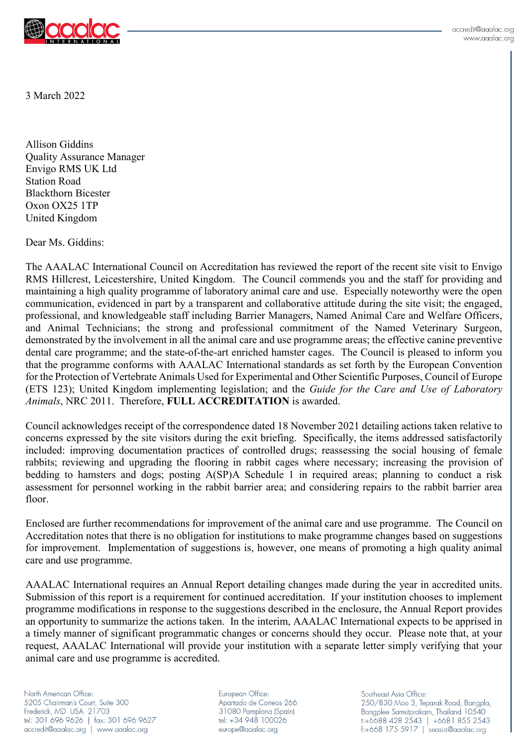

3 March 2022

Allison Giddins Quality Assurance Manager Envigo RMS UK Ltd Station Road Blackthorn Bicester Oxon OX25 1TP United Kingdom

Dear Ms. Giddins:

The AAALAC International Council on Accreditation has reviewed the report of the recent site visit to Envigo RMS Hillcrest, Leicestershire, United Kingdom. The Council commends you and the staff for providing and maintaining a high quality programme of laboratory animal care and use. Especially noteworthy were the open communication, evidenced in part by a transparent and collaborative attitude during the site visit; the engaged, professional, and knowledgeable staff including Barrier Managers, Named Animal Care and Welfare Officers, and Animal Technicians; the strong and professional commitment of the Named Veterinary Surgeon, demonstrated by the involvement in all the animal care and use programme areas; the effective canine preventive dental care programme; and the state-of-the-art enriched hamster cages. The Council is pleased to inform you that the programme conforms with AAALAC International standards as set forth by the European Convention for the Protection of Vertebrate Animals Used for Experimental and Other Scientific Purposes, Council of Europe (ETS 123); United Kingdom implementing legislation; and the *Guide for the Care and Use of Laboratory Animals*, NRC 2011. Therefore, **FULL ACCREDITATION** is awarded.

Council acknowledges receipt of the correspondence dated 18 November 2021 detailing actions taken relative to concerns expressed by the site visitors during the exit briefing. Specifically, the items addressed satisfactorily included: improving documentation practices of controlled drugs; reassessing the social housing of female rabbits; reviewing and upgrading the flooring in rabbit cages where necessary; increasing the provision of bedding to hamsters and dogs; posting A(SP)A Schedule 1 in required areas; planning to conduct a risk assessment for personnel working in the rabbit barrier area; and considering repairs to the rabbit barrier area floor.

Enclosed are further recommendations for improvement of the animal care and use programme. The Council on Accreditation notes that there is no obligation for institutions to make programme changes based on suggestions for improvement. Implementation of suggestions is, however, one means of promoting a high quality animal care and use programme.

AAALAC International requires an Annual Report detailing changes made during the year in accredited units. Submission of this report is a requirement for continued accreditation. If your institution chooses to implement programme modifications in response to the suggestions described in the enclosure, the Annual Report provides an opportunity to summarize the actions taken. In the interim, AAALAC International expects to be apprised in a timely manner of significant programmatic changes or concerns should they occur. Please note that, at your request, AAALAC International will provide your institution with a separate letter simply verifying that your animal care and use programme is accredited.

North American Office: 5205 Chairman's Court, Suite 300 Frederick, MD USA 21703 tel: 301 696 9626 | fax: 301 696 9627 accredit@aaalac.org | www.aaalac.org

European Office: Apartado de Correos 266 31080 Pamplona (Spain) tel: +34 948 100026 europe@aaalac.org

Southeast Asia Office: 250/830 Moo 3, Teparak Road, Bangpla, Bangplee Samutprakarn, Thailand 10540 1:+6688 428 2543 | +6681 855 2543 f:+668 175 5917 | seasia@aaalac.org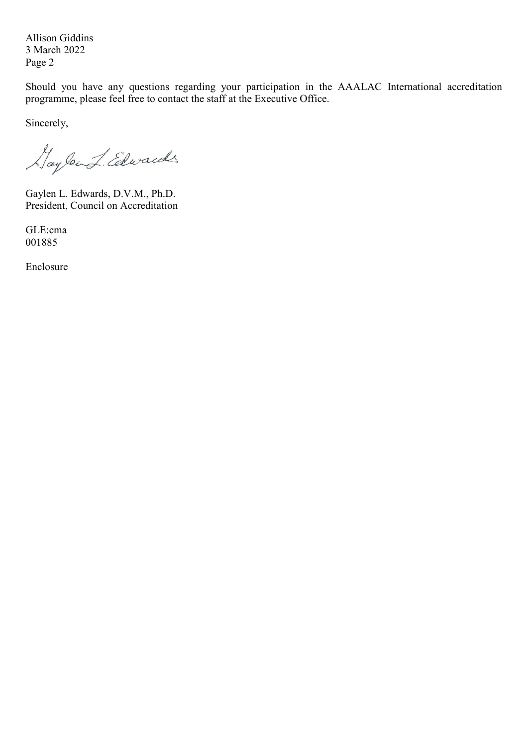Allison Giddins 3 March 2022 Page 2

Should you have any questions regarding your participation in the AAALAC International accreditation programme, please feel free to contact the staff at the Executive Office.

Sincerely,

Haylend Edwards

Gaylen L. Edwards, D.V.M., Ph.D. President, Council on Accreditation

GLE:cma 001885

Enclosure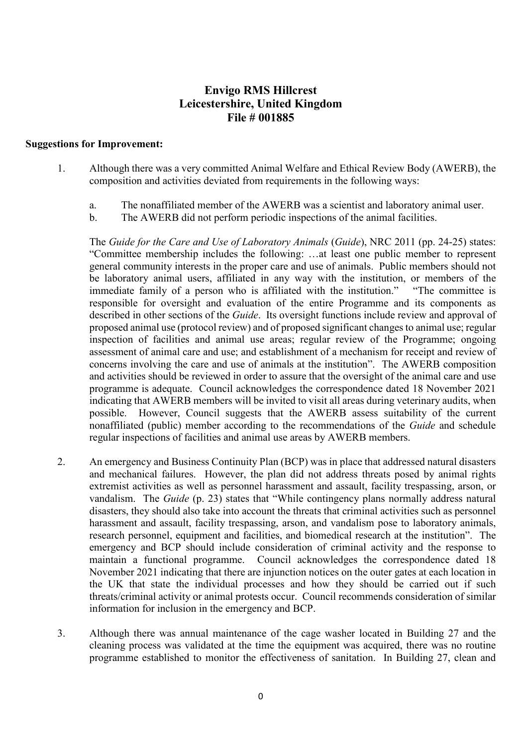## **Envigo RMS Hillcrest Leicestershire, United Kingdom File # 001885**

## **Suggestions for Improvement:**

- 1. Although there was a very committed Animal Welfare and Ethical Review Body (AWERB), the composition and activities deviated from requirements in the following ways:
	- a. The nonaffiliated member of the AWERB was a scientist and laboratory animal user.
	- b. The AWERB did not perform periodic inspections of the animal facilities.

The *Guide for the Care and Use of Laboratory Animals* (*Guide*), NRC 2011 (pp. 24-25) states: "Committee membership includes the following: …at least one public member to represent general community interests in the proper care and use of animals. Public members should not be laboratory animal users, affiliated in any way with the institution, or members of the immediate family of a person who is affiliated with the institution." "The committee is responsible for oversight and evaluation of the entire Programme and its components as described in other sections of the *Guide*. Its oversight functions include review and approval of proposed animal use (protocol review) and of proposed significant changes to animal use; regular inspection of facilities and animal use areas; regular review of the Programme; ongoing assessment of animal care and use; and establishment of a mechanism for receipt and review of concerns involving the care and use of animals at the institution". The AWERB composition and activities should be reviewed in order to assure that the oversight of the animal care and use programme is adequate. Council acknowledges the correspondence dated 18 November 2021 indicating that AWERB members will be invited to visit all areas during veterinary audits, when possible. However, Council suggests that the AWERB assess suitability of the current nonaffiliated (public) member according to the recommendations of the *Guide* and schedule regular inspections of facilities and animal use areas by AWERB members.

- 2. An emergency and Business Continuity Plan (BCP) was in place that addressed natural disasters and mechanical failures. However, the plan did not address threats posed by animal rights extremist activities as well as personnel harassment and assault, facility trespassing, arson, or vandalism. The *Guide* (p. 23) states that "While contingency plans normally address natural disasters, they should also take into account the threats that criminal activities such as personnel harassment and assault, facility trespassing, arson, and vandalism pose to laboratory animals, research personnel, equipment and facilities, and biomedical research at the institution". The emergency and BCP should include consideration of criminal activity and the response to maintain a functional programme. Council acknowledges the correspondence dated 18 November 2021 indicating that there are injunction notices on the outer gates at each location in the UK that state the individual processes and how they should be carried out if such threats/criminal activity or animal protests occur. Council recommends consideration of similar information for inclusion in the emergency and BCP.
- 3. Although there was annual maintenance of the cage washer located in Building 27 and the cleaning process was validated at the time the equipment was acquired, there was no routine programme established to monitor the effectiveness of sanitation. In Building 27, clean and